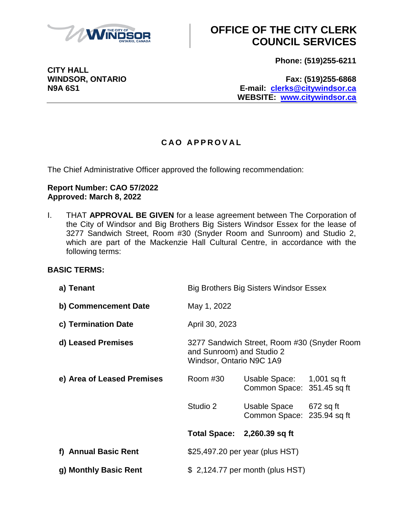

**Phone: (519)255-6211**

**WINDSOR, ONTARIO Fax: (519)255-6868 N9A 6S1 E-mail: [clerks@citywindsor.ca](mailto:clerks@citywindsor.ca) WEBSITE: [www.citywindsor.ca](http://www.citywindsor.ca/)**

### **C A O A P P R O V A L**

The Chief Administrative Officer approved the following recommendation:

#### **Report Number: CAO 57/2022 Approved: March 8, 2022**

I. THAT **APPROVAL BE GIVEN** for a lease agreement between The Corporation of the City of Windsor and Big Brothers Big Sisters Windsor Essex for the lease of 3277 Sandwich Street, Room #30 (Snyder Room and Sunroom) and Studio 2, which are part of the Mackenzie Hall Cultural Centre, in accordance with the following terms:

### **BASIC TERMS:**

| a) Tenant                  | Big Brothers Big Sisters Windsor Essex                                                               |                                                         |  |  |  |
|----------------------------|------------------------------------------------------------------------------------------------------|---------------------------------------------------------|--|--|--|
| b) Commencement Date       | May 1, 2022                                                                                          |                                                         |  |  |  |
| c) Termination Date        | April 30, 2023                                                                                       |                                                         |  |  |  |
| d) Leased Premises         | 3277 Sandwich Street, Room #30 (Snyder Room<br>and Sunroom) and Studio 2<br>Windsor, Ontario N9C 1A9 |                                                         |  |  |  |
| e) Area of Leased Premises | Room #30                                                                                             | Usable Space: 1,001 sq ft<br>Common Space: 351.45 sq ft |  |  |  |
|                            | Studio 2                                                                                             | Usable Space 672 sq ft<br>Common Space: 235.94 sq ft    |  |  |  |
|                            | <b>Total Space:</b>                                                                                  | 2,260.39 sq ft                                          |  |  |  |
| f) Annual Basic Rent       | \$25,497.20 per year (plus HST)                                                                      |                                                         |  |  |  |
| g) Monthly Basic Rent      | $$2,124.77$ per month (plus HST)                                                                     |                                                         |  |  |  |

**CITY HALL**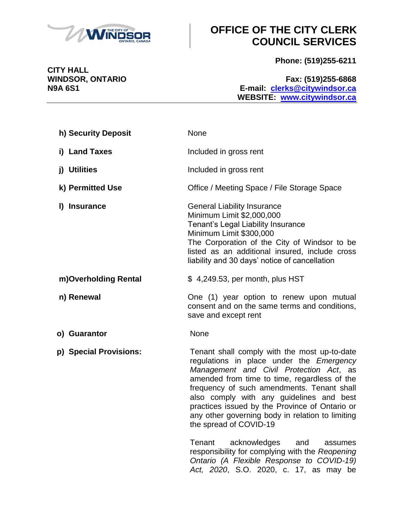

**Phone: (519)255-6211**

**WINDSOR, ONTARIO Fax: (519)255-6868 N9A 6S1 E-mail: [clerks@citywindsor.ca](mailto:clerks@citywindsor.ca) WEBSITE: [www.citywindsor.ca](http://www.citywindsor.ca/)**

| h) Security Deposit    | None                                                                                                                                                                                                                                                                                                                                                                                                          |  |  |
|------------------------|---------------------------------------------------------------------------------------------------------------------------------------------------------------------------------------------------------------------------------------------------------------------------------------------------------------------------------------------------------------------------------------------------------------|--|--|
| i) Land Taxes          | Included in gross rent                                                                                                                                                                                                                                                                                                                                                                                        |  |  |
| j) Utilities           | Included in gross rent                                                                                                                                                                                                                                                                                                                                                                                        |  |  |
| k) Permitted Use       | Office / Meeting Space / File Storage Space                                                                                                                                                                                                                                                                                                                                                                   |  |  |
| I) Insurance           | <b>General Liability Insurance</b><br>Minimum Limit \$2,000,000<br>Tenant's Legal Liability Insurance<br>Minimum Limit \$300,000<br>The Corporation of the City of Windsor to be<br>listed as an additional insured, include cross<br>liability and 30 days' notice of cancellation                                                                                                                           |  |  |
| m)Overholding Rental   | \$4,249.53, per month, plus HST                                                                                                                                                                                                                                                                                                                                                                               |  |  |
| n) Renewal             | One (1) year option to renew upon mutual<br>consent and on the same terms and conditions,<br>save and except rent                                                                                                                                                                                                                                                                                             |  |  |
| o) Guarantor           | None                                                                                                                                                                                                                                                                                                                                                                                                          |  |  |
| p) Special Provisions: | Tenant shall comply with the most up-to-date<br>regulations in place under the Emergency<br>Management and Civil Protection Act, as<br>amended from time to time, regardless of the<br>frequency of such amendments. Tenant shall<br>also comply with any guidelines and best<br>practices issued by the Province of Ontario or<br>any other governing body in relation to limiting<br>the spread of COVID-19 |  |  |
|                        | acknowledges<br>Tenant<br>and<br>assumes<br>responsibility for complying with the Reopening<br>Ontario (A Flexible Response to COVID-19)<br>Act, 2020, S.O. 2020, c. 17, as may be                                                                                                                                                                                                                            |  |  |

**CITY HALL<br>WINDSOR, ONTARIO**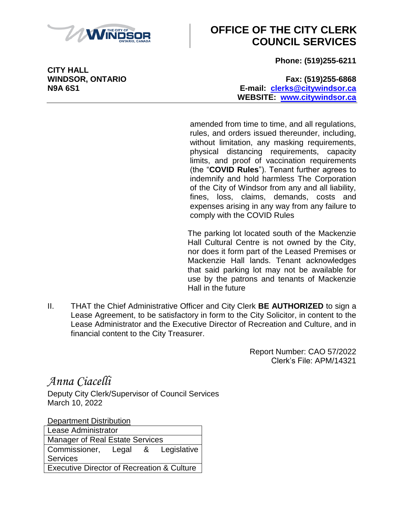

**Phone: (519)255-6211**

**WINDSOR, ONTARIO Fax: (519)255-6868 N9A 6S1 E-mail: [clerks@citywindsor.ca](mailto:clerks@citywindsor.ca) WEBSITE: [www.citywindsor.ca](http://www.citywindsor.ca/)**

> amended from time to time, and all regulations, rules, and orders issued thereunder, including, without limitation, any masking requirements, physical distancing requirements, capacity limits, and proof of vaccination requirements (the "**COVID Rules**"). Tenant further agrees to indemnify and hold harmless The Corporation of the City of Windsor from any and all liability, fines, loss, claims, demands, costs and expenses arising in any way from any failure to comply with the COVID Rules

The parking lot located south of the Mackenzie Hall Cultural Centre is not owned by the City, nor does it form part of the Leased Premises or Mackenzie Hall lands. Tenant acknowledges that said parking lot may not be available for use by the patrons and tenants of Mackenzie Hall in the future

II. THAT the Chief Administrative Officer and City Clerk **BE AUTHORIZED** to sign a Lease Agreement, to be satisfactory in form to the City Solicitor, in content to the Lease Administrator and the Executive Director of Recreation and Culture, and in financial content to the City Treasurer.

> Report Number: CAO 57/2022 Clerk's File: APM/14321

*Anna Ciacelli*

Deputy City Clerk/Supervisor of Council Services March 10, 2022

Department Distribution

| Lease Administrator                                   |  |  |  |  |
|-------------------------------------------------------|--|--|--|--|
| <b>Manager of Real Estate Services</b>                |  |  |  |  |
| Commissioner, Legal & Legislative                     |  |  |  |  |
| <b>Services</b>                                       |  |  |  |  |
| <b>Executive Director of Recreation &amp; Culture</b> |  |  |  |  |

**CITY HALL**